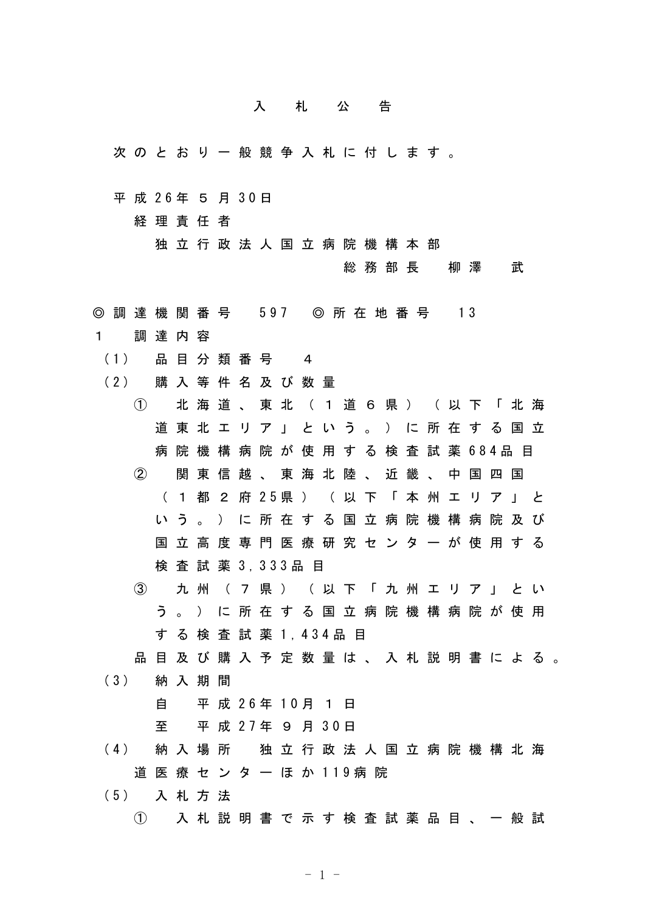## 入 札 公 告

- 次 の と お り 一 般 競 争 入 札 に 付 し ま す 。
- 平 成 26年 5 月 30日

経 理 責 任 者

独 立 行 政 法 人 国 立 病 院 機 構 本 部

総 務 部 長 柳 澤 武

- ◎ 調 達 機 関 番 号 597 ◎ 所 在 地 番 号 13
- 1 調 達 内 容
- ( 1 ) 品 目 分 類 番 号 4
- (2) 購入等件名及び数量
	- ① 北 海 道 、 東 北 ( 1 道 6 県 ) ( 以 下 「 北 海 道 東 北 エ リ ア 」 と い う 。 ) に 所 在 す る 国 立 病 院 機 構 病 院 が 使 用 す る 検 査 試 薬 6 8 4 品 目 ② 関 東 信 越 、 東 海 北 陸 、 近 畿 、 中 国 四 国 ( 1 都 2 府 2 5 県 ) ( 以 下 「 本 州 エ リ ア 」 と い う 。 ) に 所 在 す る 国 立 病 院 機 構 病 院 及 び 国 立 高 度 専 門 医 療 研 究 セ ン タ ー が 使 用 す る
		- 検 査 試 薬 3 , 3 3 3 品 目
	- ③ 九 州 ( 7 県 ) ( 以 下 「 九 州 エ リ ア 」 と い う 。 ) に 所 在 す る 国 立 病 院 機 構 病 院 が 使 用 す る 検 査 試 薬 1 , 4 3 4 品 目

品 目 及 び 購 入 予 定 数 量 は 、 入 札 説 明 書 に よ る 。 ( 3 ) 納 入 期 間

自 平 成 2 6 年 1 0 月 1 日

至 平 成 2 7 年 9 月 3 0 日

( 4 ) 納 入 場 所 独 立 行 政 法 人 国 立 病 院 機 構 北 海 道 医 療 セ ン タ ー ほ か 119病 院

( 5 ) 入 札 方 法

① 入 札 説 明 書 で 示 す 検 査 試 薬 品 目 、 一 般 試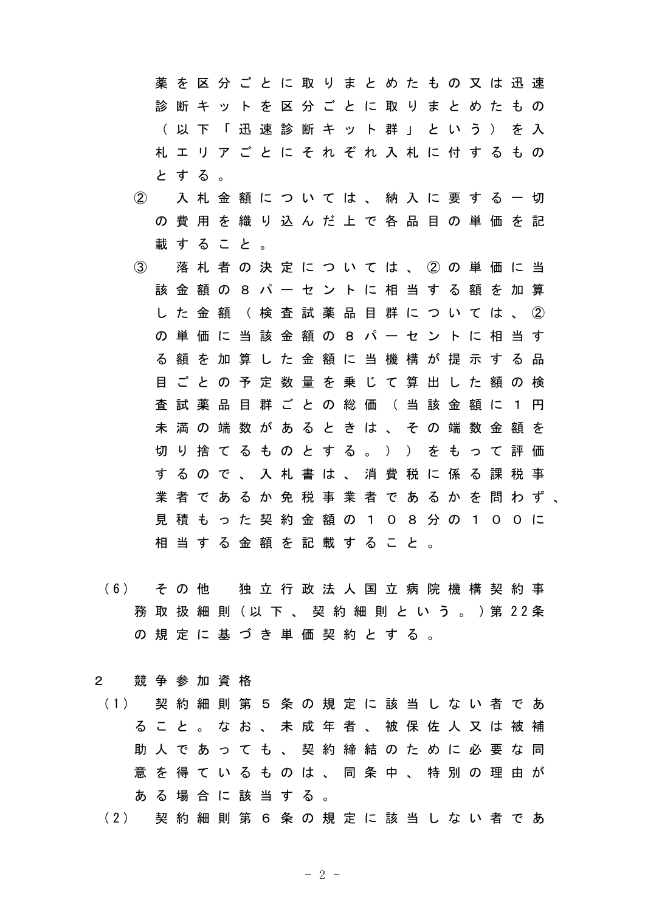薬 を 区 分 ご と に 取 り ま と め た も の 又 は 迅 速 診 断 キ ッ ト を 区 分 ご と に 取 り ま と め た も の ( 以 下 「 迅 速 診 断 キ ッ ト 群 」 と い う ) を 入 札 エ リ ア ご と に そ れ ぞ れ 入 札 に 付 す る も の と す る 。

- ② 入 札 金 額 に つ い て は 、 納 入 に 要 す る 一 切 の 費 用 を 織 り 込 ん だ 上 で 各 品 目 の 単 価 を 記 載 す る こ と 。
- ③ 落 札 者 の 決 定 に つ い て は 、 ② の 単 価 に 当 該 金 額 の 8 パ ー セ ン ト に 相 当 す る 額 を 加 算 し た 金 額 ( 検 査 試 薬 品 目 群 に つ い て は 、 ② の 単 価 に 当 該 金 額 の 8 パ ー セ ン ト に 相 当 す る 額 を 加 算 し た 金 額 に 当 機 構 が 提 示 す る 品 目 ご と の 予 定 数 量 を 乗 じ て 算 出 し た 額 の 検 査 試 薬 品 目 群 ご と の 総 価 ( 当 該 金 額 に 1 円 未 満 の 端 数 が あ る と き は 、 そ の 端 数 金 額 を 切 り 捨 て る も の と す る 。 ) ) を も っ て 評 価 す る の で 、 入 札 書 は 、 消 費 税 に 係 る 課 税 事 業 者 で あ る か 免 税 事 業 者 で あ る か を 問 わ ず 、 見 積 も っ た 契 約 金 額 の 1 0 8 分 の 1 0 0 に 相 当 す る 金 額 を 記 載 す る こ と 。
- ( 6 ) そ の 他 独 立 行 政 法 人 国 立 病 院 機 構 契 約 事 務 取 扱 細 則 ( 以 下 、 契 約 細 則 と い う 。 ) 第 2 2 条 の 規 定 に 基 づ き 単 価 契 約 と す る 。
- 2 競 争 参 加 資 格
	- ( 1 ) 契 約 細 則 第 5 条 の 規 定 に 該 当 し な い 者 で あ る こ と 。 な お 、 未 成 年 者 、 被 保 佐 人 又 は 被 補 助 人 で あ っ て も 、 契 約 締 結 の た め に 必 要 な 同 意 を 得 て い る も の は 、 同 条 中 、 特 別 の 理 由 が あ る 場 合 に 該 当 す る 。
	- ( 2 ) 契 約 細 則 第 6 条 の 規 定 に 該 当 し な い 者 で あ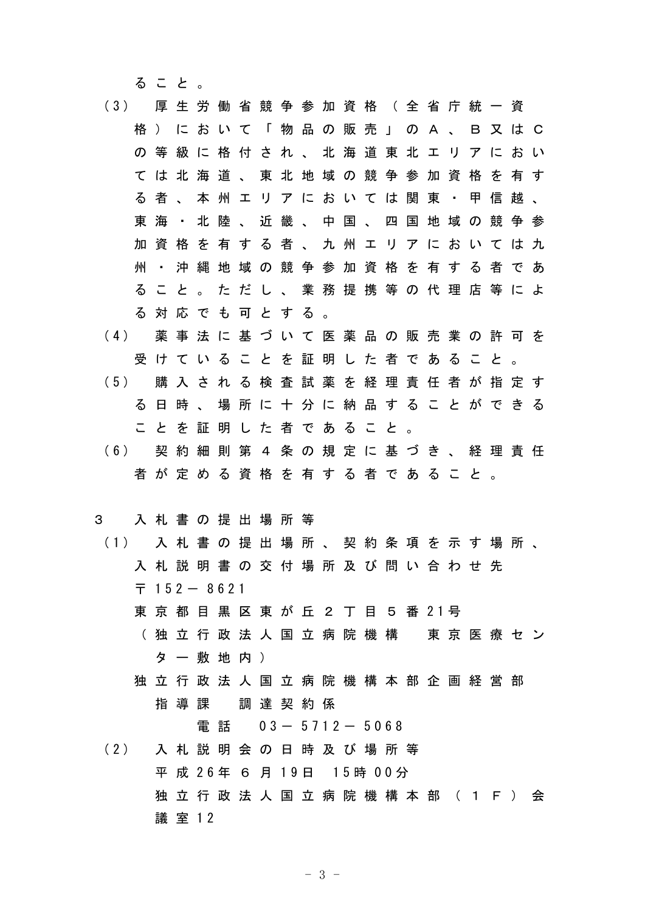る こ と 。

- ( 3 ) 厚 生 労 働 省 競 争 参 加 資 格 ( 全 省 庁 統 一 資 格 ) に お い て 「 物 品 の 販 売 」 の A 、 B 又 は C の 等 級 に 格 付 さ れ 、 北 海 道 東 北 エ リ ア に お い て は 北 海 道 、 東 北 地 域 の 競 争 参 加 資 格 を 有 す る 者 、 本 州 エ リ ア に お い て は 関 東 ・ 甲 信 越 、 東 海 ・ 北 陸 、 近 畿 、 中 国 、 四 国 地 域 の 競 争 参 加 資 格 を 有 す る 者 、 九 州 エ リ ア に お い て は 九 州 ・ 沖 縄 地 域 の 競 争 参 加 資 格 を 有 す る 者 で あ る こ と 。 た だ し 、 業 務 提 携 等 の 代 理 店 等 に よ る 対 応 で も 可 と す る 。
- ( 4 ) 薬 事 法 に 基 づ い て 医 薬 品 の 販 売 業 の 許 可 を 受 け て い る こ と を 証 明 し た 者 で あ る こ と 。 ( 5 ) 購 入 さ れ る 検 査 試 薬 を 経 理 責 任 者 が 指 定 す
- る 日 時 、 場 所 に 十 分 に 納 品 す る こ と が で き る こ と を 証 明 し た 者 で あ る こ と 。
- ( 6 ) 契 約 細 則 第 4 条 の 規 定 に 基 づ き 、 経 理 責 任 者 が 定 め る 資 格 を 有 す る 者 で あ る こ と 。

## 3 入 札 書 の 提 出 場 所 等

- ( 1 ) 入 札 書 の 提 出 場 所 、 契 約 条 項 を 示 す 場 所 、 入 札 説 明 書 の 交 付 場 所 及 び 問 い 合 わ せ 先  $\overline{7}$  152 - 8621
	- 東 京 都 目 黒 区 東 が 丘 2 丁 目 5 番 21号
	- (独立行政法人国立病院機構 東京医療セン タ ー 敷 地 内 )
	- 独 立 行 政 法 人 国 立 病 院 機 構 本 部 企 画 経 営 部 指 導 課 調 達 契 約 係

電話 0 3 - 5 7 1 2 - 5 0 6 8

( 2 ) 入 札 説 明 会 の 日 時 及 び 場 所 等 平 成 2 6 年 6 月 1 9 日 1 5 時 0 0 分 独 立 行 政 法 人 国 立 病 院 機 構 本 部 ( 1 F ) 会 議 室 1 2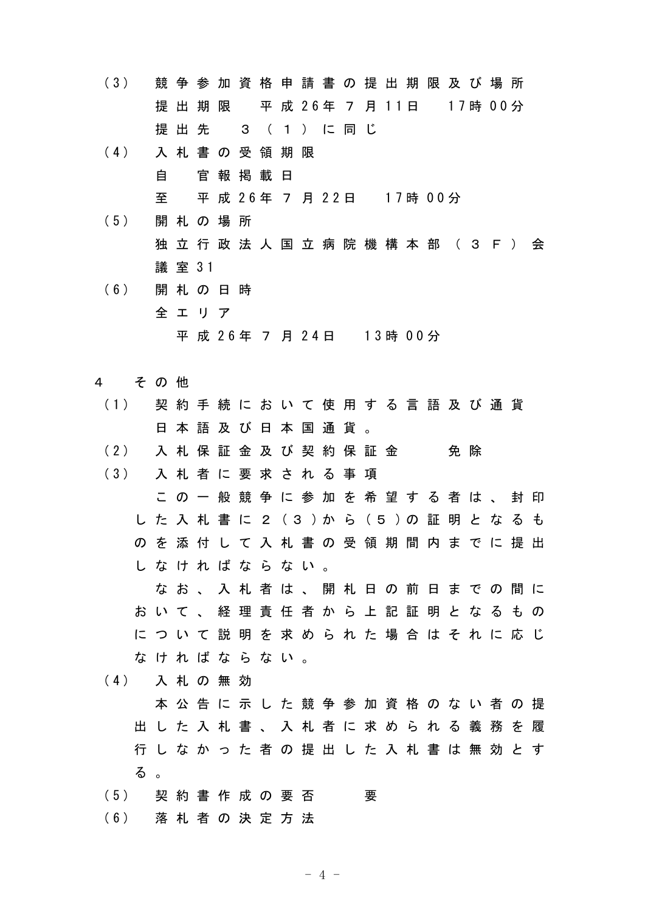| (3) |          | 競     | 争      | 参  |                                         |     |     | 加 資 格 申 請 書 の 提 出 期 限 及 び 場 所           |   |   |       |  |     |         |   |     |
|-----|----------|-------|--------|----|-----------------------------------------|-----|-----|-----------------------------------------|---|---|-------|--|-----|---------|---|-----|
|     |          | 提     | 出      | 期  | 限                                       |     |     | 平 成 26年 7 月 11日                         |   |   |       |  |     | 17時 00分 |   |     |
|     |          |       | 提 出    | 先  |                                         | 3   |     | ( 1 ) に 同 じ                             |   |   |       |  |     |         |   |     |
| (4) |          |       | 入札     |    | 書の受領                                    |     | 期   | 限                                       |   |   |       |  |     |         |   |     |
|     |          | 自     |        | 官  | 報 掲 載                                   |     | 日   |                                         |   |   |       |  |     |         |   |     |
|     |          | 至     |        | 平  |                                         |     |     | 成 26年 7 月 22日 17時 00分                   |   |   |       |  |     |         |   |     |
| (5) |          | 開     |        |    | 札の場所                                    |     |     |                                         |   |   |       |  |     |         |   |     |
|     |          | 独     |        |    |                                         |     |     | 立 行 政 法 人 国 立 病 院 機 構 本 部 ( 3 F )       |   |   |       |  |     |         |   | 会   |
|     |          |       | 議 室 31 |    |                                         |     |     |                                         |   |   |       |  |     |         |   |     |
| (6) |          | 開     |        |    | 札の日時                                    |     |     |                                         |   |   |       |  |     |         |   |     |
|     |          |       | 全工     | リア |                                         |     |     |                                         |   |   |       |  |     |         |   |     |
|     |          |       |        |    |                                         |     |     | 平 成 2 6 年 7 月 2 4 日 1 3 時 0 0 分         |   |   |       |  |     |         |   |     |
|     |          |       |        |    |                                         |     |     |                                         |   |   |       |  |     |         |   |     |
| 4   |          | そ の 他 |        |    |                                         |     |     |                                         |   |   |       |  |     |         |   |     |
| (1) |          | 契     |        |    |                                         |     |     | 約 手 続 に お い て 使 用 す る 言 語 及 び 通 貨       |   |   |       |  |     |         |   |     |
|     |          | 8     | 本      | 語  |                                         | 及び日 | 本 国 |                                         | 通 | 貨 |       |  |     |         |   |     |
| (2) |          |       | 入札     |    | 保 証 金                                   |     |     | 及び契約                                    |   |   | 保 証 金 |  | 免 除 |         |   |     |
| (3) |          |       |        |    |                                         |     |     | 入 札 者 に 要 求 さ れ る 事                     |   |   | 項     |  |     |         |   |     |
|     |          |       | この     |    |                                         |     |     | ー 般 競 争 に 参 加 を 希 望 す る 者 は 、           |   |   |       |  |     |         | 封 | -ED |
|     |          | た     |        |    |                                         |     |     | 入 札 書 に 2 (3)か ら (5)の証                  |   |   |       |  | 明   | とな      | る | も   |
|     | $\sigma$ | を     | 添      | 付  |                                         |     |     | し て 入 札 書 の 受 領 期 間 内 ま で に 提 出         |   |   |       |  |     |         |   |     |
|     |          |       |        |    |                                         |     |     | しなければならない。                              |   |   |       |  |     |         |   |     |
|     |          |       |        |    |                                         |     |     | な お 、 入 札 者 は 、 開 札 日 の 前 日 ま で の 間 に   |   |   |       |  |     |         |   |     |
|     |          |       |        |    |                                         |     |     | お い て 、 経 理 責 任 者 か ら 上 記 証 明 と な る も の |   |   |       |  |     |         |   |     |
|     |          |       |        |    |                                         |     |     | に つ い て 説 明 を 求 め ら れ た 場 合 は そ れ に 応 じ |   |   |       |  |     |         |   |     |
|     |          |       |        |    | なければならない。                               |     |     |                                         |   |   |       |  |     |         |   |     |
| (4) |          |       |        |    | 入札の無効                                   |     |     |                                         |   |   |       |  |     |         |   |     |
|     |          |       |        |    |                                         |     |     | 本 公 告 に 示 し た 競 争 参 加 資 格 の な い 者 の 提   |   |   |       |  |     |         |   |     |
|     |          |       |        |    | 出 し た 入 札 書 、 入 札 者 に 求 め ら れ る 義 務 を 履 |     |     |                                         |   |   |       |  |     |         |   |     |

- る 。
- (5) 契約書作成の要否 要
- ( 6 ) 落 札 者 の 決 定 方 法

行 し な か っ た 者 の 提 出 し た 入 札 書 は 無 効 と す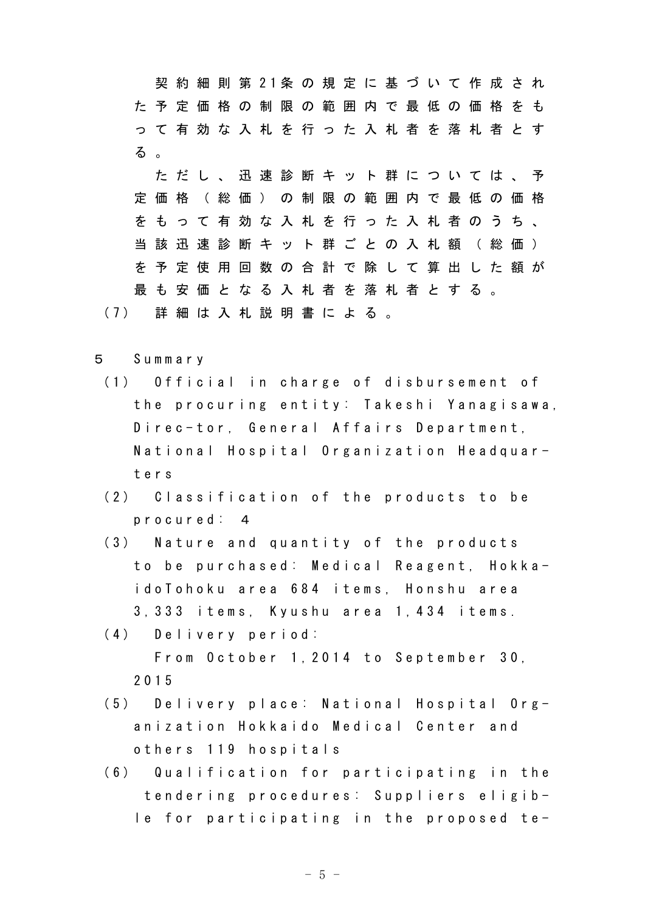契 約 細 則 第 2 1 条 の 規 定 に 基 づ い て 作 成 さ れ た 予 定 価 格 の 制 限 の 範 囲 内 で 最 低 の 価 格 を も っ て 有 効 な 入 札 を 行 っ た 入 札 者 を 落 札 者 と す る 。

た だ し 、 迅 速 診 断 キ ッ ト 群 に つ い て は 、 予 定 価 格 ( 総 価 ) の 制 限 の 範 囲 内 で 最 低 の 価 格 を も っ て 有 効 な 入 札 を 行 っ た 入 札 者 の う ち 、 当 該 迅 速 診 断 キ ッ ト 群 ご と の 入 札 額 ( 総 価 ) を 予 定 使 用 回 数 の 合 計 で 除 し て 算 出 し た 額 が 最 も 安 価 と な る 入 札 者 を 落 札 者 と す る 。

( 7 ) 詳 細 は 入 札 説 明 書 に よ る 。

- 5 S u m m a r y
	- (1) Official in charge of disbursement of the procuring entity: Takeshi Yanagisawa, Direc-tor, General Affairs Department, National Hospital Organization Headquart e r s
	- (2) Classification of the products to be p r o c u r e d : 4
	- $(3)$  Nature and quantity of the products to be purchased: Medical Reagent, Hokkai do To ho ku ar e a 684 items, Honshu ar e a 3, 333 items, Kyushu area 1, 434 items.
	- (4) Delivery period: From October 1, 2014 to September 30, 2 0 1 5
	- (5) Delivery place: National Hospital Organization Hokkaido Medical Center and o thers 119 hospitals
	- (6) Qualification for participating in the tendering procedures: Suppliers eligib $l$  e for participating in the proposed te-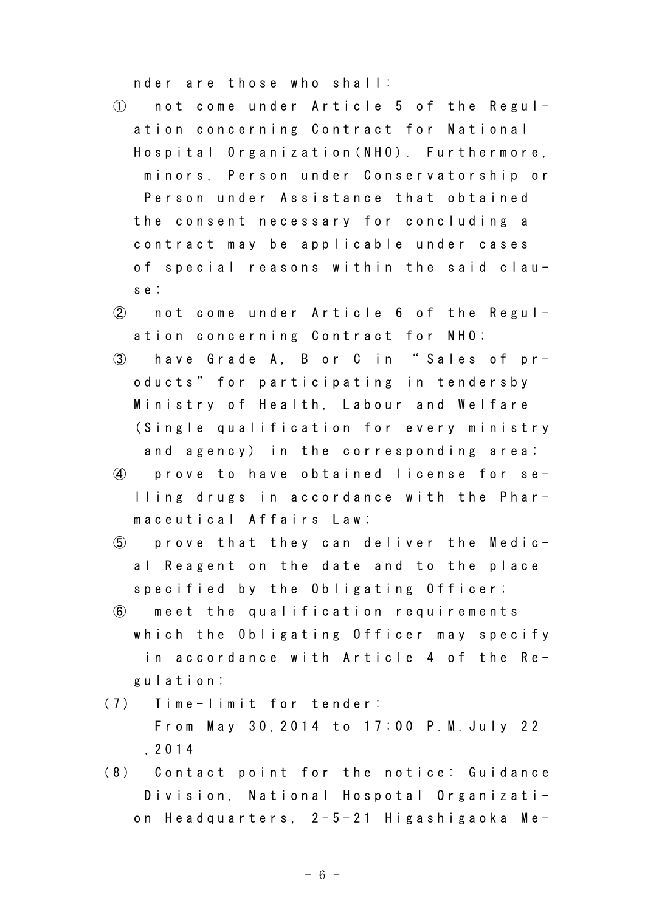nder are those who shall:

- $\circ$  not come under Article 5 of the Regulation concerning Contract for National Hospital Organization (NHO). Furthermore, minors. Person under Conservatorship or Person under Assistance that obtained the consent necessary for concluding a contract may be applicable under cases of special reasons within the said claus e ;
- $\overline{2}$  not come under Article 6 of the Regulation concerning Contract for NHO;
- 3 have Grade A, B or C in "Sales of products" for participating in tendersby Ministry of Health, Labour and Welfare (Single qualification for every ministry and agency) in the corresponding area;
- $\overline{a}$  prove to have obtained license for selling drugs in accordance with the Pharma c e u t i c a l A f f a i r s L a w ;
- $\circ$  prove that they can deliver the Medical Reagent on the date and to the place specified by the Obligating Officer;
- **(6)** meet the qualification requirements which the Obligating Officer may specify in accordance with Article 4 of the Reg u l a t i o n ;
- (7) Time-limit for tender: From May 30, 2014 to 17:00 P.M. July 22 , 2 0 1 4
- (8) Contact point for the notice: Guidance Division, National Hospotal Organization Headquarters, 2-5-21 Higashigaoka Me-